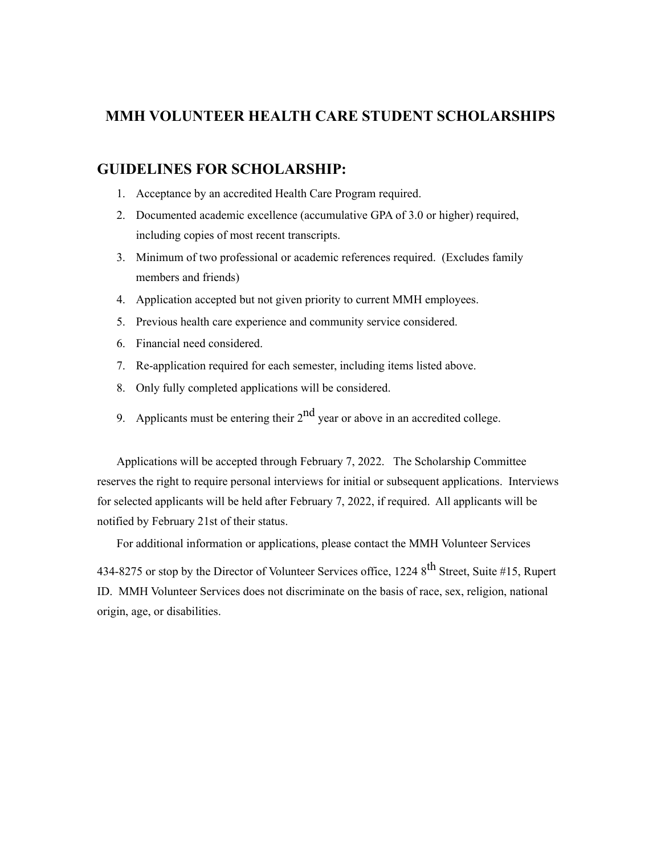## **MMH VOLUNTEER HEALTH CARE STUDENT SCHOLARSHIPS**

## **GUIDELINES FOR SCHOLARSHIP:**

- 1. Acceptance by an accredited Health Care Program required.
- 2. Documented academic excellence (accumulative GPA of 3.0 or higher) required, including copies of most recent transcripts.
- 3. Minimum of two professional or academic references required. (Excludes family members and friends)
- 4. Application accepted but not given priority to current MMH employees.
- 5. Previous health care experience and community service considered.
- 6. Financial need considered.
- 7. Re-application required for each semester, including items listed above.
- 8. Only fully completed applications will be considered.
- 9. Applicants must be entering their  $2<sup>nd</sup>$  year or above in an accredited college.

Applications will be accepted through February 7, 2022. The Scholarship Committee reserves the right to require personal interviews for initial or subsequent applications. Interviews for selected applicants will be held after February 7, 2022, if required. All applicants will be notified by February 21st of their status.

For additional information or applications, please contact the MMH Volunteer Services

434-8275 or stop by the Director of Volunteer Services office, 1224 8<sup>th</sup> Street, Suite #15, Rupert ID. MMH Volunteer Services does not discriminate on the basis of race, sex, religion, national origin, age, or disabilities.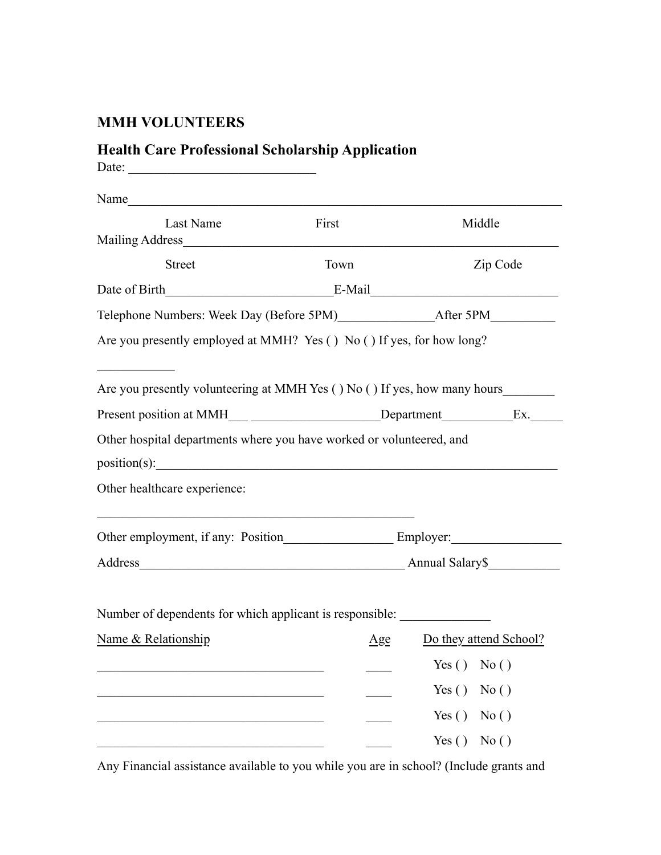## **MMH VOLUNTEERS**

## **Health Care Professional Scholarship Application**

| Date:                                                                     |                                                                                   |                            |  |
|---------------------------------------------------------------------------|-----------------------------------------------------------------------------------|----------------------------|--|
| Name                                                                      |                                                                                   |                            |  |
| Last Name                                                                 | First                                                                             | Middle                     |  |
| <b>Street</b>                                                             | Town                                                                              | Zip Code                   |  |
| Date of Birth E-Mail E-Mail                                               |                                                                                   |                            |  |
|                                                                           |                                                                                   |                            |  |
| Are you presently employed at MMH? Yes () No () If yes, for how long?     |                                                                                   |                            |  |
|                                                                           |                                                                                   |                            |  |
| Are you presently volunteering at MMH Yes () No () If yes, how many hours |                                                                                   |                            |  |
|                                                                           | Present position at MMH___ __________________Department_____________Ex.__________ |                            |  |
| Other hospital departments where you have worked or volunteered, and      |                                                                                   |                            |  |
|                                                                           |                                                                                   |                            |  |
| Other healthcare experience:                                              |                                                                                   |                            |  |
|                                                                           |                                                                                   |                            |  |
| Address Address Annual Salary \$                                          |                                                                                   |                            |  |
|                                                                           |                                                                                   |                            |  |
| Number of dependents for which applicant is responsible:                  |                                                                                   |                            |  |
| Name & Relationship                                                       |                                                                                   | Age Do they attend School? |  |
|                                                                           |                                                                                   | Yes $( )$<br>No()          |  |
|                                                                           |                                                                                   | Yes $( )$<br>No()          |  |
|                                                                           |                                                                                   | Yes $( )$<br>No()          |  |
|                                                                           |                                                                                   | Yes $( )$<br>No()          |  |

Any Financial assistance available to you while you are in school? (Include grants and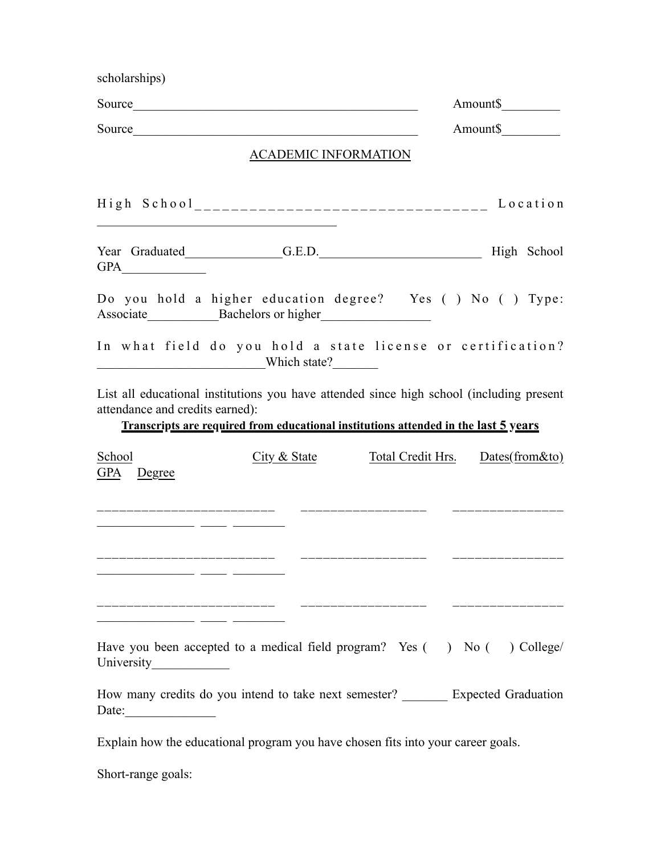| scholarships)                                          |                                                                                                                                                                                 |                                    |          |
|--------------------------------------------------------|---------------------------------------------------------------------------------------------------------------------------------------------------------------------------------|------------------------------------|----------|
|                                                        |                                                                                                                                                                                 |                                    | Amount\$ |
|                                                        |                                                                                                                                                                                 |                                    | Amount\$ |
|                                                        | ACADEMIC INFORMATION                                                                                                                                                            |                                    |          |
|                                                        | High School__________________________________ Location                                                                                                                          |                                    |          |
|                                                        | Year Graduated G.E.D. G.E.D. High School                                                                                                                                        |                                    |          |
|                                                        | Do you hold a higher education degree? Yes () No () Type:<br>Associate Bachelors or higher                                                                                      |                                    |          |
|                                                        | In what field do you hold a state license or certification?<br>Which state?                                                                                                     |                                    |          |
| attendance and credits earned):                        | List all educational institutions you have attended since high school (including present<br>Transcripts are required from educational institutions attended in the last 5 years |                                    |          |
| School<br><b>GPA</b><br>Degree                         | $City &$ State                                                                                                                                                                  | Total Credit Hrs. Dates(from & to) |          |
|                                                        |                                                                                                                                                                                 |                                    |          |
|                                                        |                                                                                                                                                                                 |                                    |          |
| <u> 1999 - Johann Bernstein, mensk forsk politik (</u> | Have you been accepted to a medical field program? Yes $($ ) No $($ ) College/                                                                                                  |                                    |          |
| University<br>Date:                                    | How many credits do you intend to take next semester? ________ Expected Graduation                                                                                              |                                    |          |

Explain how the educational program you have chosen fits into your career goals.

Short-range goals: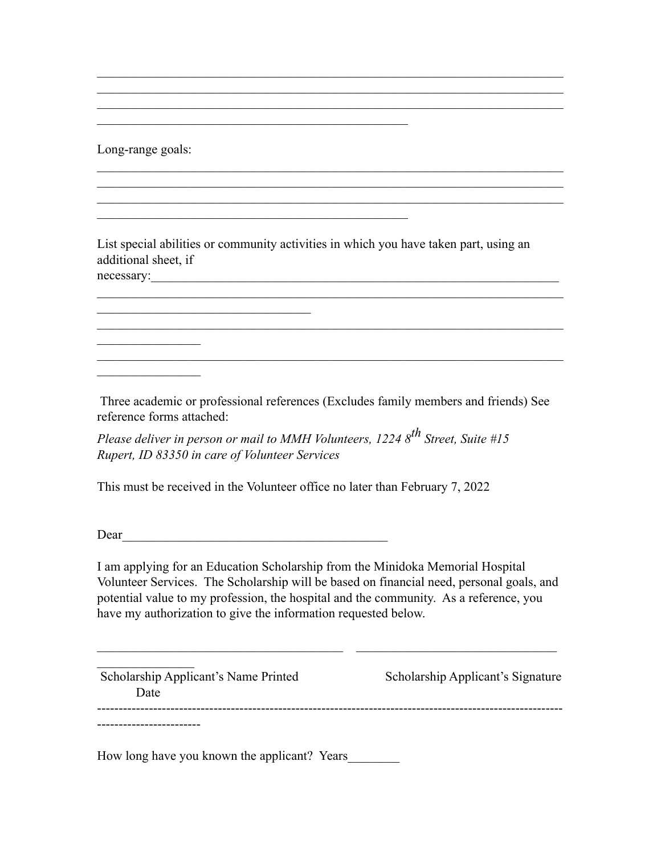Long-range goals:

 $\mathcal{L}_\text{max}$ 

 $\frac{1}{2}$ 

List special abilities or community activities in which you have taken part, using an additional sheet, if necessary:

 $\mathcal{L}_\text{max} = \mathcal{L}_\text{max} = \mathcal{L}_\text{max} = \mathcal{L}_\text{max} = \mathcal{L}_\text{max} = \mathcal{L}_\text{max} = \mathcal{L}_\text{max} = \mathcal{L}_\text{max} = \mathcal{L}_\text{max} = \mathcal{L}_\text{max} = \mathcal{L}_\text{max} = \mathcal{L}_\text{max} = \mathcal{L}_\text{max} = \mathcal{L}_\text{max} = \mathcal{L}_\text{max} = \mathcal{L}_\text{max} = \mathcal{L}_\text{max} = \mathcal{L}_\text{max} = \mathcal{$ 

 $\mathcal{L}_\text{max}$  , and the contribution of the contribution of the contribution of the contribution of the contribution of the contribution of the contribution of the contribution of the contribution of the contribution of t

 $\mathcal{L}_\text{max}$  , and the contribution of the contribution of the contribution of the contribution of the contribution of the contribution of the contribution of the contribution of the contribution of the contribution of t

 $\mathcal{L}_\text{max}$  , and the contribution of the contribution of the contribution of the contribution of the contribution of the contribution of the contribution of the contribution of the contribution of the contribution of t  $\mathcal{L}_\text{max}$  , and the contribution of the contribution of the contribution of the contribution of the contribution of the contribution of the contribution of the contribution of the contribution of the contribution of t  $\mathcal{L}_\text{max} = \mathcal{L}_\text{max} = \mathcal{L}_\text{max} = \mathcal{L}_\text{max} = \mathcal{L}_\text{max} = \mathcal{L}_\text{max} = \mathcal{L}_\text{max} = \mathcal{L}_\text{max} = \mathcal{L}_\text{max} = \mathcal{L}_\text{max} = \mathcal{L}_\text{max} = \mathcal{L}_\text{max} = \mathcal{L}_\text{max} = \mathcal{L}_\text{max} = \mathcal{L}_\text{max} = \mathcal{L}_\text{max} = \mathcal{L}_\text{max} = \mathcal{L}_\text{max} = \mathcal{$ 

 $\mathcal{L}_\text{max}$  , and the contribution of the contribution of the contribution of the contribution of the contribution of the contribution of the contribution of the contribution of the contribution of the contribution of t  $\mathcal{L}_\text{max}$  , and the contribution of the contribution of the contribution of the contribution of the contribution of the contribution of the contribution of the contribution of the contribution of the contribution of t  $\mathcal{L}_\text{max}$  , and the contribution of the contribution of the contribution of the contribution of the contribution of the contribution of the contribution of the contribution of the contribution of the contribution of t

 $\mathcal{L}_\text{max}$  , and the contract of the contract of the contract of the contract of the contract of the contract of the contract of the contract of the contract of the contract of the contract of the contract of the contr

 $\mathcal{L}_\text{max}$  , and the contract of the contract of the contract of the contract of the contract of the contract of the contract of the contract of the contract of the contract of the contract of the contract of the contr

 $\mathcal{L}_\text{max}$  , where  $\mathcal{L}_\text{max}$  is the set of the set of the set of the set of the set of the set of the set of the set of the set of the set of the set of the set of the set of the set of the set of the set of the se

 Three academic or professional references (Excludes family members and friends) See reference forms attached:

*Please deliver in person or mail to MMH Volunteers, 1224 8th Street, Suite #15 Rupert, ID 83350 in care of Volunteer Services*

This must be received in the Volunteer office no later than February 7, 2022

Dear\_\_\_\_\_\_\_\_\_\_\_\_\_\_\_\_\_\_\_\_\_\_\_\_\_\_\_\_\_\_\_\_\_\_\_\_\_\_\_\_\_

I am applying for an Education Scholarship from the Minidoka Memorial Hospital Volunteer Services. The Scholarship will be based on financial need, personal goals, and potential value to my profession, the hospital and the community. As a reference, you have my authorization to give the information requested below.

\_\_\_\_\_\_\_\_\_\_\_\_\_\_\_\_\_\_\_\_\_\_\_\_\_\_\_\_\_\_\_\_\_\_\_\_\_\_ \_\_\_\_\_\_\_\_\_\_\_\_\_\_\_\_\_\_\_\_\_\_\_\_\_\_\_\_\_\_\_

| Scholarship Applicant's Name Printed<br>Date | Scholarship Applicant's Signature |
|----------------------------------------------|-----------------------------------|
|                                              |                                   |

How long have you known the applicant? Years\_\_\_\_\_\_\_\_